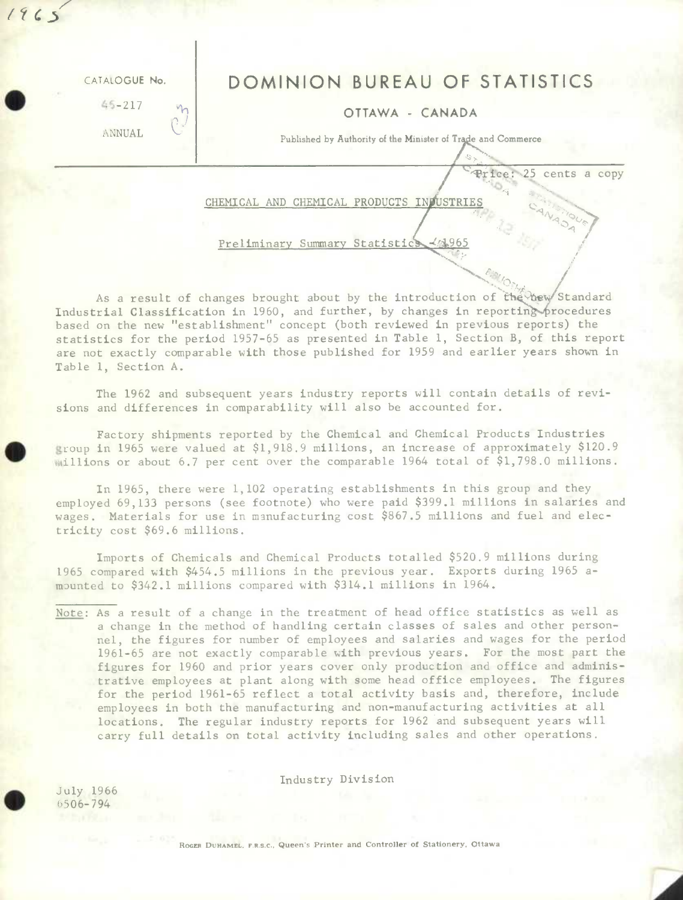| CATALOGUE No.<br>$45 - 217$<br>ANNUAL | DOMINION BUREAU OF STATISTICS<br>$M_{\odot}$<br>OTTAWA - CANADA<br>Λ.,<br>Published by Authority of the Minister of Trade and Commerce |
|---------------------------------------|----------------------------------------------------------------------------------------------------------------------------------------|
|                                       | Lce: 25 cents a copy<br>CHEMICAL AND CHEMICAL PRODUCTS INFUSTRIES<br>Preliminary Summary Statistics < 1965                             |

w/Standard<br>procedures<br>erts) the As a result of changes brought about by the introduction of the bew Standard Industrial Classification in 1960, and further, by changes in reporting procedures based on the new "establishment" concept (both reviewed in previous reports) the statistics for the period 1957-65 as presented in Table 1, Section B, of this report are not exactly comparable with those published for 1959 and earlier years shown in Table 1, Section A.

The 1962 and subsequent years industry reports will contain details of revisions and differences in comparability will also be accounted for.

Factory shipments reported by the Chemical and Chemical Products Industries coup **in** 1965 were valued at \$1,918.9 millions, an increase of approximately \$120.9 illions or about 6.7 per cent over the comparable 1964 total of \$1,798.0 millions.

In 1965, there were 1,102 operating establishments in this group and they employed 69,133 persons (see footnote) who were paid \$399.1 millions in salaries and wages. Materials for use in manufacturing cost \$867.5 millions and fuel and electricity cost \$69.6 millions.

Imports of Chemicals and Chemical Products totalled \$520.9 millions during 1965 compared with \$454.5 millions in the previous year. Exports during 1965 amounted to \$342.1 millions compared with \$314.1 millions in 1964.

Note: As a result of a change in the treatment of head office statistics as well as a change in the method of handling certain classes of sales and other personnel, the figures for number of employees and salaries and wages for the period 1961-65 are not exactly comparable with previous years. For the most part the figures for 1960 and prior years cover only production and office and administrative employees at plant along with some head office employees. The figures for the period 1961-65 reflect a total activity basis and, therefore, include **employees in** both the manufacturing and non-manufacturing activities at all locations. The regular industry reports for 1962 and subsequent years will carry full details on total activity including sales and other operations.

Industry Division

July 1966 506-794

 $1965$ 

ROGER DUHAMEL, F.R.S.C., Queen's Printer and Controller of Stationery, Ottawa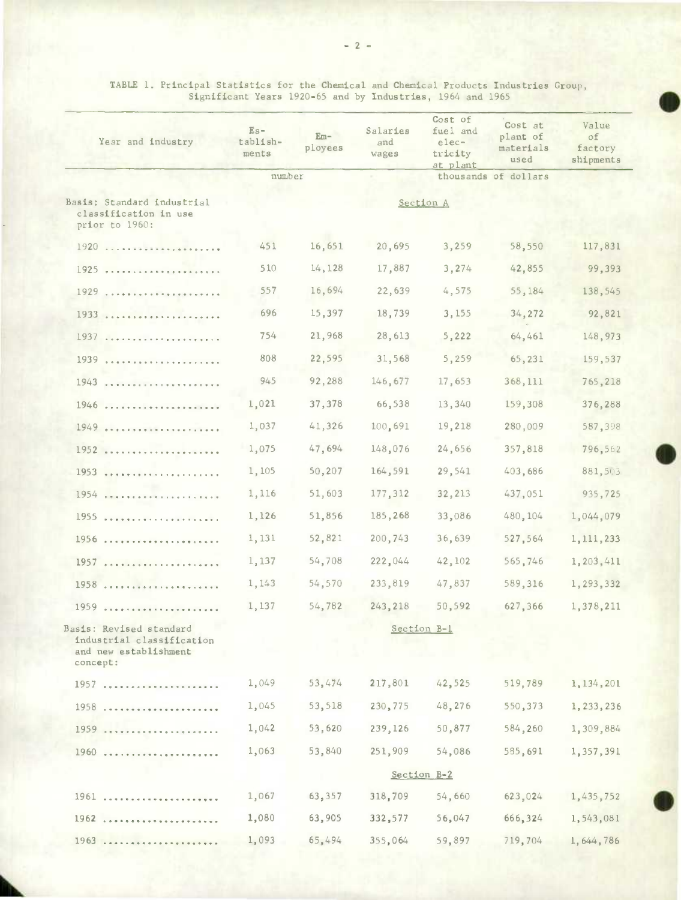| Year and industry                                                                         | $Es-$<br>tablish-<br>ments | $Em-$<br>ployees | Salaries<br>and<br>wages | Cost of<br>fuel and<br>elec-<br>tricity<br>at plant | Cost at<br>plant of<br>materials<br>used | Value<br>of<br>factory<br>shipments |
|-------------------------------------------------------------------------------------------|----------------------------|------------------|--------------------------|-----------------------------------------------------|------------------------------------------|-------------------------------------|
|                                                                                           | number                     |                  |                          |                                                     | thousands of dollars                     |                                     |
| Basis: Standard industrial<br>classification in use<br>prior to 1960:                     |                            |                  |                          | Section A                                           |                                          |                                     |
|                                                                                           | 451                        | 16,651           | 20,695                   | 3,259                                               | 58,550                                   | 117,831                             |
| 1925                                                                                      | 510                        | 14,128           | 17,887                   | 3,274                                               | 42,855                                   | 99,393                              |
| 1929                                                                                      | 557                        | 16,694           | 22,639                   | 4,575                                               | 55,184                                   | 138,545                             |
|                                                                                           | 696                        | 15,397           | 18,739                   | 3,155                                               | 34,272                                   | 92,821                              |
|                                                                                           | 754                        | 21,968           | 28,613                   | 5,222                                               | 64,461                                   | 148,973                             |
|                                                                                           | 808                        | 22,595           | 31,568                   | 5,259                                               | 65,231                                   | 159,537                             |
|                                                                                           | 945                        | 92,288           | 146,677                  | 17,653                                              | 368,111                                  | 765,218                             |
| 1946                                                                                      | 1,021                      | 37,378           | 66,538                   | 13,340                                              | 159,308                                  | 376,288                             |
|                                                                                           | 1,037                      | 41,326           | 100,691                  | 19,218                                              | 280,009                                  | 587,398                             |
| 1952                                                                                      | 1,075                      | 47,694           | 148,076                  | 24,656                                              | 357,818                                  | 796,562                             |
|                                                                                           | 1,105                      | 50,207           | 164,591                  | 29,541                                              | 403,686                                  | 881,503                             |
| 1954                                                                                      | 1,116                      | 51,603           | 177,312                  | 32,213                                              | 437,051                                  | 935,725                             |
| 1955                                                                                      | 1,126                      | 51,856           | 185,268                  | 33,086                                              | 480,104                                  | 1,044,079                           |
| 1956                                                                                      | 1,131                      | 52,821           | 200,743                  | 36,639                                              | 527,564                                  | 1, 111, 233                         |
| 1957                                                                                      | 1,137                      | 54,708           | 222,044                  | 42,102                                              | 565,746                                  | 1,203,411                           |
| 1958                                                                                      | 1,143                      | 54,570           | 233,819                  | 47,837                                              | 589,316                                  | 1,293,332                           |
| 1959                                                                                      | 1,137                      | 54,782           | 243,218                  | 50,592                                              | 627,366                                  | 1,378,211                           |
| Basis: Revised standard<br>industrial classification<br>and new establishment<br>concept: |                            |                  |                          | Section B-1                                         |                                          |                                     |
| 1957                                                                                      | 1,049                      | 53,474           | 217,801                  | 42,525                                              | 519,789                                  | 1, 134, 201                         |
| 1958                                                                                      | 1,045                      | 53,518           | 230,775                  | 48,276                                              | 550,373                                  | 1, 233, 236                         |
| 1959                                                                                      | 1,042                      | 53,620           | 239,126                  | 50,877                                              | 584,260                                  | 1,309,884                           |
| 1960                                                                                      | 1,063                      | 53,840           | 251,909                  | 54,086                                              | 585,691                                  | 1,357,391                           |
|                                                                                           |                            |                  |                          | Section B-2                                         |                                          |                                     |
| 1961                                                                                      | 1,067                      | 63,357           | 318,709                  | 54,660                                              | 623,024                                  | 1,435,752                           |
| 1962                                                                                      | 1,080                      | 63,905           | 332,577                  | 56,047                                              | 666,324                                  | 1,543,081                           |
| 1963                                                                                      | 1,093                      | 65,494           | 355,064                  | 59,897                                              | 719,704                                  | 1, 644, 786                         |

 $\bullet$ 

TABLE 1. Principal Statistics for the Chemical and Chemical Products Industries Group, Significant Years 1920-65 and by Industries, 1964 and 1965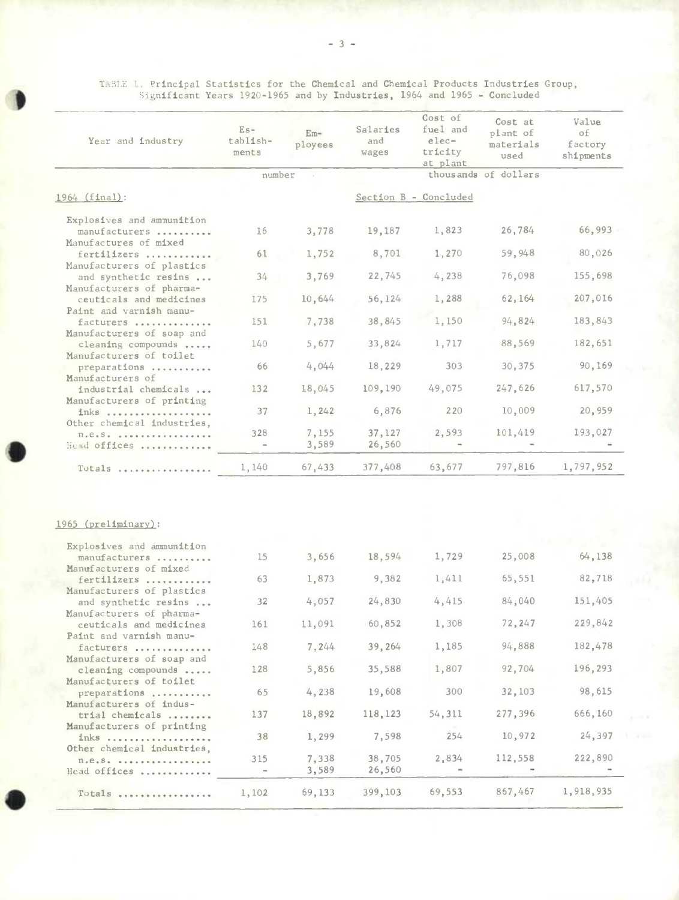I. Principal Statistics for the Chemical and Chemical Products Industries Group, Significant Years 1920-1965 and by Industries, 1964 and 1965 - Concluded

)

| Year and industry                                                                    | $Es-$<br>tablish-<br>ments | $Em-$<br>ployees | Salaries<br>and<br>wages | Cost of<br>fuel and<br>$elec-$<br>tricity<br>at plant | Cost at<br>plant of<br>materials<br>used | Value<br>of<br>factory<br>shipments |
|--------------------------------------------------------------------------------------|----------------------------|------------------|--------------------------|-------------------------------------------------------|------------------------------------------|-------------------------------------|
|                                                                                      | number                     |                  |                          |                                                       | thousands of dollars                     |                                     |
| 1964 (final):                                                                        |                            |                  |                          | Section B - Concluded                                 |                                          |                                     |
| Explosives and amnunition                                                            |                            |                  |                          |                                                       |                                          |                                     |
| manufacturers<br>Manufactures of mixed                                               | 16                         | 3,778            | 19,187                   | 1,823                                                 | 26,784                                   | 66,993                              |
| fertilizers                                                                          | 61                         | 1,752            | 8,701                    | 1,270                                                 | 59,948                                   | 80,026                              |
| Manufacturers of plastics<br>and synthetic resins                                    | 34                         | 3,769            | 22,745                   | 4,238                                                 | 76,098                                   | 155,698                             |
| Manufacturers of pharma-                                                             |                            |                  |                          |                                                       |                                          |                                     |
| ceuticals and medicines<br>Paint and varnish manu-                                   | 175                        | 10,644           | 56,124                   | 1,288                                                 | 62,164                                   | 207,016                             |
| facturers                                                                            | 151                        | 7,738            | 38,845                   | 1,150                                                 | 94,824                                   | 183,843                             |
| Manufacturers of soap and<br>cleaning compounds                                      | 140                        | 5,677            | 33,824                   | 1,717                                                 | 88,569                                   | 182,651                             |
| Manufacturers of toilet<br>preparations                                              | 66                         | 4,044            | 18,229                   | 303                                                   | 30,375                                   | 90,169                              |
| Manufacturers of                                                                     |                            |                  |                          |                                                       |                                          |                                     |
| industrial chemicals<br>Manufacturers of printing                                    | 132                        | 18,045           | 109,190                  | 49,075                                                | 247,626                                  | 617,570                             |
| inks                                                                                 | 37                         | 1,242            | 6,876                    | 220                                                   | 10,009                                   | 20,959                              |
| Other chemical industries,<br>$\Pi_*\theta_*S_*$ , , , , , , , , , , , , , , , , , , | 328                        | 7,155            | 37,127                   | 2,593                                                 | 101,419                                  | 193,027                             |
| Head offices                                                                         |                            | 3,589            | 26,560                   |                                                       |                                          |                                     |
| Totals                                                                               | 1,140                      | 67,433           | 377,408                  | 63,677                                                | 797,816                                  | 1,797,952                           |
|                                                                                      |                            |                  |                          |                                                       |                                          |                                     |
| 1965 (preliminary):                                                                  |                            |                  |                          |                                                       |                                          |                                     |
| Explosives and ammunition                                                            |                            |                  |                          |                                                       |                                          |                                     |
| manufacturers<br>Manufacturers of mixed                                              | 15                         | 3,656            | 18,594                   | 1,729                                                 | 25,008                                   | 64,138                              |
| fertilizers                                                                          | 63                         | 1,873            | 9,382                    | 1,411                                                 | 65,551                                   | 82,718                              |
| Manufacturers of plastics<br>and synthetic resins                                    | 32                         | 4,057            | 24,830                   | 4,415                                                 | 84,040                                   | 151,405                             |
| Manufacturers of pharma-<br>ceuticals and medicines                                  | 161                        | 11,091           | 60,852                   | 1,308                                                 | 72,247                                   | 229,842                             |
| Paint and varnish manu-                                                              |                            |                  |                          |                                                       |                                          |                                     |
| facturers<br>Manufacturers of soap and                                               | 148                        | 7,244            | 39,264                   | 1,185                                                 | 94,888                                   | 182,478                             |
| cleaning compounds                                                                   | 128                        | 5,856            | 35,588                   | 1,807                                                 | 92,704                                   | 196,293                             |
| Manufacturers of toilet<br>preparations                                              | 65                         | 4,238            | 19,608                   | 300                                                   | 32,103                                   | 98,615                              |
| Manufacturers of indus-                                                              | 137                        | 18,892           | 118,123                  | 54,311                                                | 277,396                                  | 666,160                             |
| trial chemicals<br>Manufacturers of printing                                         |                            |                  |                          |                                                       |                                          |                                     |
| inks<br>Other chemical industries,                                                   | 38                         | 1,299            | 7,598                    | 254                                                   | 10,972                                   | 24,397                              |
| $n.e. s.$                                                                            | 315                        | 7,338            | 38,705                   | 2,834                                                 | 112,558                                  | 222,890                             |
| Head offices                                                                         |                            | 3,589            | 26,560                   |                                                       |                                          |                                     |
| Totals                                                                               | 1,102                      | 69,133           | 399,103                  | 69,553                                                | 867,467                                  | 1,918,935                           |